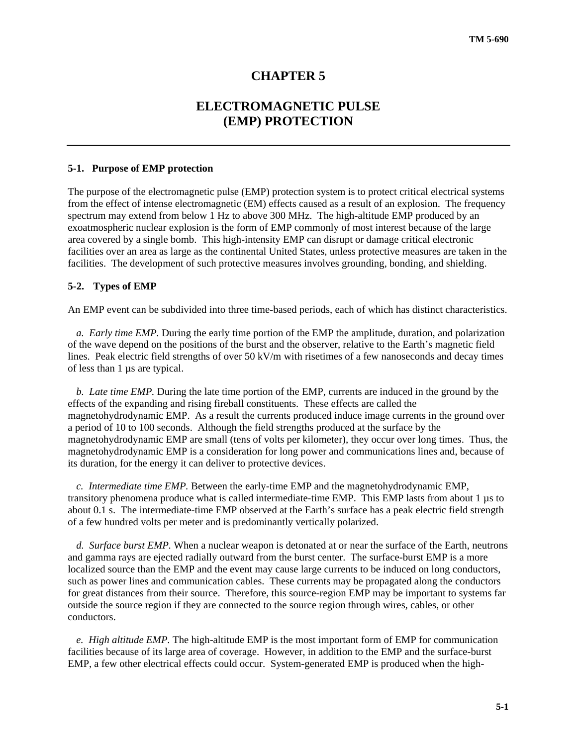# **CHAPTER 5**

# **ELECTROMAGNETIC PULSE (EMP) PROTECTION**

#### **5-1. Purpose of EMP protection**

The purpose of the electromagnetic pulse (EMP) protection system is to protect critical electrical systems from the effect of intense electromagnetic (EM) effects caused as a result of an explosion. The frequency spectrum may extend from below 1 Hz to above 300 MHz. The high-altitude EMP produced by an exoatmospheric nuclear explosion is the form of EMP commonly of most interest because of the large area covered by a single bomb. This high-intensity EMP can disrupt or damage critical electronic facilities over an area as large as the continental United States, unless protective measures are taken in the facilities. The development of such protective measures involves grounding, bonding, and shielding.

#### **5-2. Types of EMP**

An EMP event can be subdivided into three time-based periods, each of which has distinct characteristics.

*a. Early time EMP.* During the early time portion of the EMP the amplitude, duration, and polarization of the wave depend on the positions of the burst and the observer, relative to the Earth's magnetic field lines. Peak electric field strengths of over 50 kV/m with risetimes of a few nanoseconds and decay times of less than 1 µs are typical.

*b. Late time EMP.* During the late time portion of the EMP, currents are induced in the ground by the effects of the expanding and rising fireball constituents. These effects are called the magnetohydrodynamic EMP. As a result the currents produced induce image currents in the ground over a period of 10 to 100 seconds. Although the field strengths produced at the surface by the magnetohydrodynamic EMP are small (tens of volts per kilometer), they occur over long times. Thus, the magnetohydrodynamic EMP is a consideration for long power and communications lines and, because of its duration, for the energy it can deliver to protective devices.

*c. Intermediate time EMP.* Between the early-time EMP and the magnetohydrodynamic EMP, transitory phenomena produce what is called intermediate-time EMP. This EMP lasts from about 1 µs to about 0.1 s. The intermediate-time EMP observed at the Earth's surface has a peak electric field strength of a few hundred volts per meter and is predominantly vertically polarized.

*d. Surface burst EMP.* When a nuclear weapon is detonated at or near the surface of the Earth, neutrons and gamma rays are ejected radially outward from the burst center. The surface-burst EMP is a more localized source than the EMP and the event may cause large currents to be induced on long conductors, such as power lines and communication cables. These currents may be propagated along the conductors for great distances from their source. Therefore, this source-region EMP may be important to systems far outside the source region if they are connected to the source region through wires, cables, or other conductors.

*e. High altitude EMP.* The high-altitude EMP is the most important form of EMP for communication facilities because of its large area of coverage. However, in addition to the EMP and the surface-burst EMP, a few other electrical effects could occur. System-generated EMP is produced when the high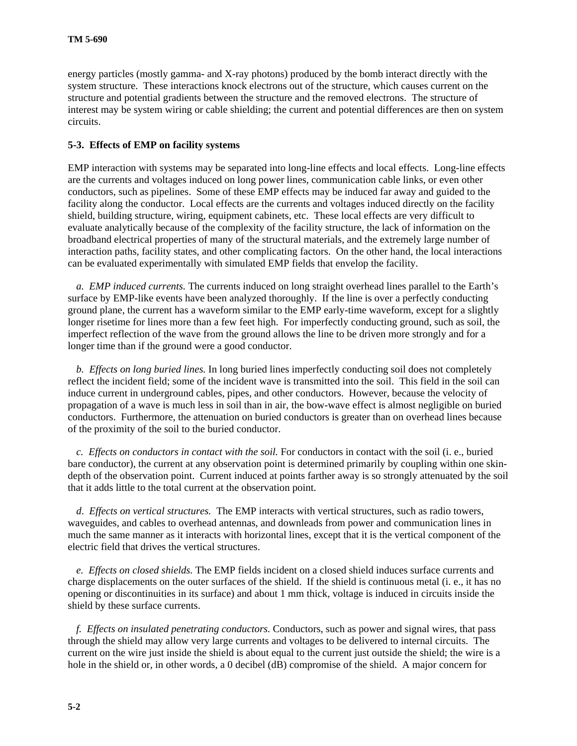energy particles (mostly gamma- and X-ray photons) produced by the bomb interact directly with the system structure. These interactions knock electrons out of the structure, which causes current on the structure and potential gradients between the structure and the removed electrons. The structure of interest may be system wiring or cable shielding; the current and potential differences are then on system circuits.

# **5-3. Effects of EMP on facility systems**

EMP interaction with systems may be separated into long-line effects and local effects. Long-line effects are the currents and voltages induced on long power lines, communication cable links, or even other conductors, such as pipelines. Some of these EMP effects may be induced far away and guided to the facility along the conductor. Local effects are the currents and voltages induced directly on the facility shield, building structure, wiring, equipment cabinets, etc. These local effects are very difficult to evaluate analytically because of the complexity of the facility structure, the lack of information on the broadband electrical properties of many of the structural materials, and the extremely large number of interaction paths, facility states, and other complicating factors. On the other hand, the local interactions can be evaluated experimentally with simulated EMP fields that envelop the facility.

 *a. EMP induced currents.* The currents induced on long straight overhead lines parallel to the Earth's surface by EMP-like events have been analyzed thoroughly. If the line is over a perfectly conducting ground plane, the current has a waveform similar to the EMP early-time waveform, except for a slightly longer risetime for lines more than a few feet high. For imperfectly conducting ground, such as soil, the imperfect reflection of the wave from the ground allows the line to be driven more strongly and for a longer time than if the ground were a good conductor.

*b. Effects on long buried lines.* In long buried lines imperfectly conducting soil does not completely reflect the incident field; some of the incident wave is transmitted into the soil. This field in the soil can induce current in underground cables, pipes, and other conductors. However, because the velocity of propagation of a wave is much less in soil than in air, the bow-wave effect is almost negligible on buried conductors. Furthermore, the attenuation on buried conductors is greater than on overhead lines because of the proximity of the soil to the buried conductor.

*c. Effects on conductors in contact with the soil.* For conductors in contact with the soil (i. e., buried bare conductor), the current at any observation point is determined primarily by coupling within one skindepth of the observation point. Current induced at points farther away is so strongly attenuated by the soil that it adds little to the total current at the observation point.

*d*. *Effects on vertical structures.* The EMP interacts with vertical structures, such as radio towers, waveguides, and cables to overhead antennas, and downleads from power and communication lines in much the same manner as it interacts with horizontal lines, except that it is the vertical component of the electric field that drives the vertical structures.

*e. Effects on closed shields.* The EMP fields incident on a closed shield induces surface currents and charge displacements on the outer surfaces of the shield. If the shield is continuous metal (i. e., it has no opening or discontinuities in its surface) and about 1 mm thick, voltage is induced in circuits inside the shield by these surface currents.

*f. Effects on insulated penetrating conductors.* Conductors, such as power and signal wires, that pass through the shield may allow very large currents and voltages to be delivered to internal circuits. The current on the wire just inside the shield is about equal to the current just outside the shield; the wire is a hole in the shield or, in other words, a 0 decibel (dB) compromise of the shield. A major concern for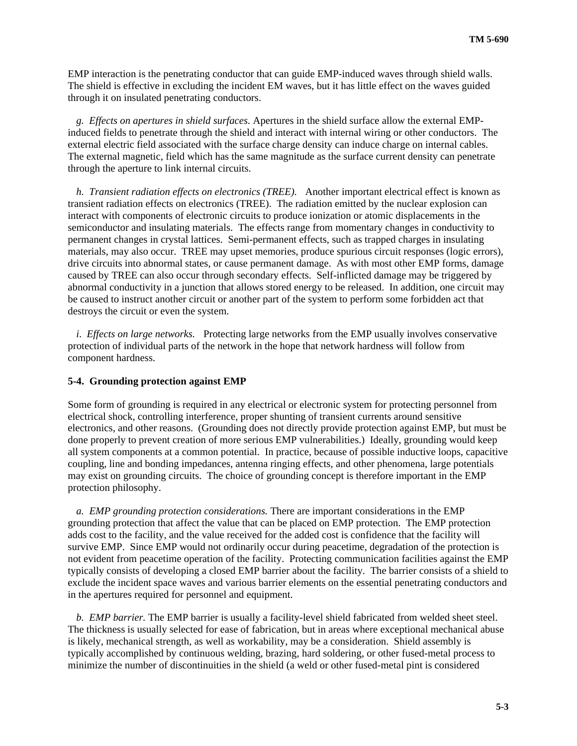EMP interaction is the penetrating conductor that can guide EMP-induced waves through shield walls. The shield is effective in excluding the incident EM waves, but it has little effect on the waves guided through it on insulated penetrating conductors.

*g. Effects on apertures in shield surfaces.* Apertures in the shield surface allow the external EMPinduced fields to penetrate through the shield and interact with internal wiring or other conductors. The external electric field associated with the surface charge density can induce charge on internal cables. The external magnetic, field which has the same magnitude as the surface current density can penetrate through the aperture to link internal circuits.

*h. Transient radiation effects on electronics (TREE).* Another important electrical effect is known as transient radiation effects on electronics (TREE). The radiation emitted by the nuclear explosion can interact with components of electronic circuits to produce ionization or atomic displacements in the semiconductor and insulating materials. The effects range from momentary changes in conductivity to permanent changes in crystal lattices. Semi-permanent effects, such as trapped charges in insulating materials, may also occur. TREE may upset memories, produce spurious circuit responses (logic errors), drive circuits into abnormal states, or cause permanent damage. As with most other EMP forms, damage caused by TREE can also occur through secondary effects. Self-inflicted damage may be triggered by abnormal conductivity in a junction that allows stored energy to be released. In addition, one circuit may be caused to instruct another circuit or another part of the system to perform some forbidden act that destroys the circuit or even the system.

*i*. *Effects on large networks.* Protecting large networks from the EMP usually involves conservative protection of individual parts of the network in the hope that network hardness will follow from component hardness.

#### **5-4. Grounding protection against EMP**

Some form of grounding is required in any electrical or electronic system for protecting personnel from electrical shock, controlling interference, proper shunting of transient currents around sensitive electronics, and other reasons. (Grounding does not directly provide protection against EMP, but must be done properly to prevent creation of more serious EMP vulnerabilities.) Ideally, grounding would keep all system components at a common potential. In practice, because of possible inductive loops, capacitive coupling, line and bonding impedances, antenna ringing effects, and other phenomena, large potentials may exist on grounding circuits. The choice of grounding concept is therefore important in the EMP protection philosophy.

*a. EMP grounding protection considerations.* There are important considerations in the EMP grounding protection that affect the value that can be placed on EMP protection. The EMP protection adds cost to the facility, and the value received for the added cost is confidence that the facility will survive EMP. Since EMP would not ordinarily occur during peacetime, degradation of the protection is not evident from peacetime operation of the facility. Protecting communication facilities against the EMP typically consists of developing a closed EMP barrier about the facility. The barrier consists of a shield to exclude the incident space waves and various barrier elements on the essential penetrating conductors and in the apertures required for personnel and equipment.

 *b. EMP barrier.* The EMP barrier is usually a facility-level shield fabricated from welded sheet steel. The thickness is usually selected for ease of fabrication, but in areas where exceptional mechanical abuse is likely, mechanical strength, as well as workability, may be a consideration. Shield assembly is typically accomplished by continuous welding, brazing, hard soldering, or other fused-metal process to minimize the number of discontinuities in the shield (a weld or other fused-metal pint is considered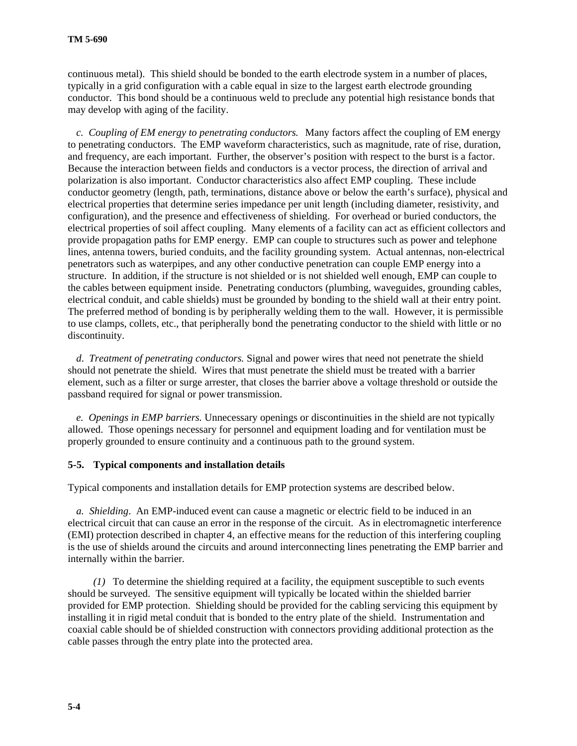continuous metal). This shield should be bonded to the earth electrode system in a number of places, typically in a grid configuration with a cable equal in size to the largest earth electrode grounding conductor. This bond should be a continuous weld to preclude any potential high resistance bonds that may develop with aging of the facility.

*c. Coupling of EM energy to penetrating conductors.* Many factors affect the coupling of EM energy to penetrating conductors. The EMP waveform characteristics, such as magnitude, rate of rise, duration, and frequency, are each important. Further, the observer's position with respect to the burst is a factor. Because the interaction between fields and conductors is a vector process, the direction of arrival and polarization is also important. Conductor characteristics also affect EMP coupling. These include conductor geometry (length, path, terminations, distance above or below the earth's surface), physical and electrical properties that determine series impedance per unit length (including diameter, resistivity, and configuration), and the presence and effectiveness of shielding. For overhead or buried conductors, the electrical properties of soil affect coupling. Many elements of a facility can act as efficient collectors and provide propagation paths for EMP energy. EMP can couple to structures such as power and telephone lines, antenna towers, buried conduits, and the facility grounding system. Actual antennas, non-electrical penetrators such as waterpipes, and any other conductive penetration can couple EMP energy into a structure. In addition, if the structure is not shielded or is not shielded well enough, EMP can couple to the cables between equipment inside. Penetrating conductors (plumbing, waveguides, grounding cables, electrical conduit, and cable shields) must be grounded by bonding to the shield wall at their entry point. The preferred method of bonding is by peripherally welding them to the wall. However, it is permissible to use clamps, collets, etc., that peripherally bond the penetrating conductor to the shield with little or no discontinuity.

*d*. *Treatment of penetrating conductors.* Signal and power wires that need not penetrate the shield should not penetrate the shield. Wires that must penetrate the shield must be treated with a barrier element, such as a filter or surge arrester, that closes the barrier above a voltage threshold or outside the passband required for signal or power transmission.

*e. Openings in EMP barriers.* Unnecessary openings or discontinuities in the shield are not typically allowed. Those openings necessary for personnel and equipment loading and for ventilation must be properly grounded to ensure continuity and a continuous path to the ground system.

### **5-5. Typical components and installation details**

Typical components and installation details for EMP protection systems are described below.

*a. Shielding*. An EMP-induced event can cause a magnetic or electric field to be induced in an electrical circuit that can cause an error in the response of the circuit. As in electromagnetic interference (EMI) protection described in chapter 4, an effective means for the reduction of this interfering coupling is the use of shields around the circuits and around interconnecting lines penetrating the EMP barrier and internally within the barrier.

 *(1)* To determine the shielding required at a facility, the equipment susceptible to such events should be surveyed. The sensitive equipment will typically be located within the shielded barrier provided for EMP protection. Shielding should be provided for the cabling servicing this equipment by installing it in rigid metal conduit that is bonded to the entry plate of the shield. Instrumentation and coaxial cable should be of shielded construction with connectors providing additional protection as the cable passes through the entry plate into the protected area.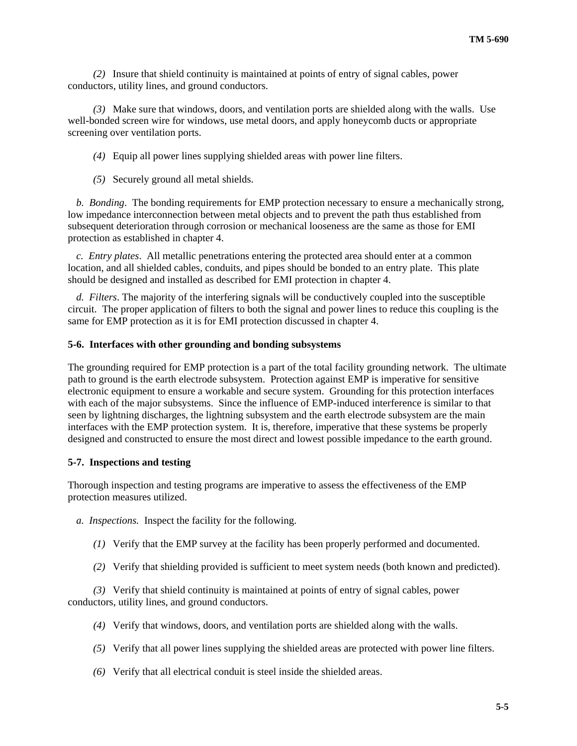*(2)* Insure that shield continuity is maintained at points of entry of signal cables, power conductors, utility lines, and ground conductors.

 *(3)* Make sure that windows, doors, and ventilation ports are shielded along with the walls. Use well-bonded screen wire for windows, use metal doors, and apply honeycomb ducts or appropriate screening over ventilation ports.

*(4)* Equip all power lines supplying shielded areas with power line filters.

*(5)* Securely ground all metal shields.

*b. Bonding*. The bonding requirements for EMP protection necessary to ensure a mechanically strong, low impedance interconnection between metal objects and to prevent the path thus established from subsequent deterioration through corrosion or mechanical looseness are the same as those for EMI protection as established in chapter 4.

 *c. Entry plates*. All metallic penetrations entering the protected area should enter at a common location, and all shielded cables, conduits, and pipes should be bonded to an entry plate. This plate should be designed and installed as described for EMI protection in chapter 4.

*d. Filters*. The majority of the interfering signals will be conductively coupled into the susceptible circuit. The proper application of filters to both the signal and power lines to reduce this coupling is the same for EMP protection as it is for EMI protection discussed in chapter 4.

#### **5-6. Interfaces with other grounding and bonding subsystems**

The grounding required for EMP protection is a part of the total facility grounding network. The ultimate path to ground is the earth electrode subsystem. Protection against EMP is imperative for sensitive electronic equipment to ensure a workable and secure system. Grounding for this protection interfaces with each of the major subsystems. Since the influence of EMP-induced interference is similar to that seen by lightning discharges, the lightning subsystem and the earth electrode subsystem are the main interfaces with the EMP protection system. It is, therefore, imperative that these systems be properly designed and constructed to ensure the most direct and lowest possible impedance to the earth ground.

#### **5-7. Inspections and testing**

Thorough inspection and testing programs are imperative to assess the effectiveness of the EMP protection measures utilized.

- *a. Inspections.* Inspect the facility for the following.
	- *(1)* Verify that the EMP survey at the facility has been properly performed and documented.
	- *(2)* Verify that shielding provided is sufficient to meet system needs (both known and predicted).

 *(3)* Verify that shield continuity is maintained at points of entry of signal cables, power conductors, utility lines, and ground conductors.

- *(4)* Verify that windows, doors, and ventilation ports are shielded along with the walls.
- *(5)* Verify that all power lines supplying the shielded areas are protected with power line filters.
- *(6)* Verify that all electrical conduit is steel inside the shielded areas.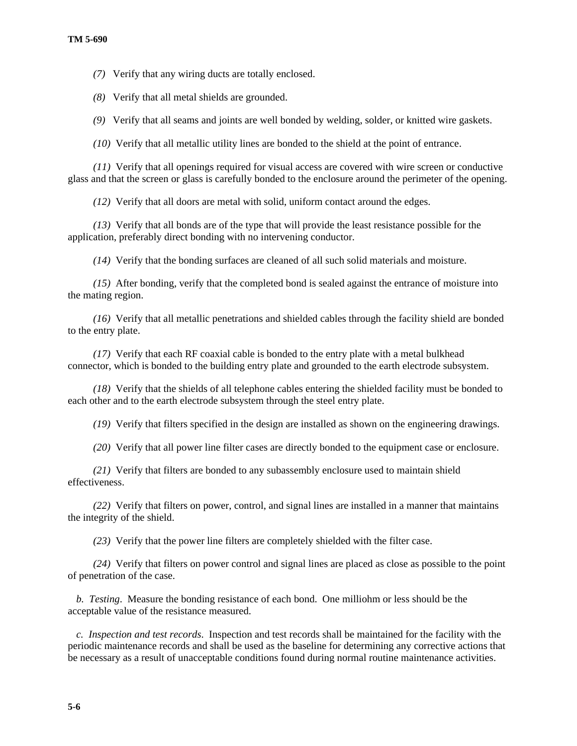*(7)* Verify that any wiring ducts are totally enclosed.

*(8)* Verify that all metal shields are grounded.

*(9)* Verify that all seams and joints are well bonded by welding, solder, or knitted wire gaskets.

*(10)* Verify that all metallic utility lines are bonded to the shield at the point of entrance.

 *(11)* Verify that all openings required for visual access are covered with wire screen or conductive glass and that the screen or glass is carefully bonded to the enclosure around the perimeter of the opening.

*(12)* Verify that all doors are metal with solid, uniform contact around the edges.

 *(13)* Verify that all bonds are of the type that will provide the least resistance possible for the application, preferably direct bonding with no intervening conductor.

*(14)* Verify that the bonding surfaces are cleaned of all such solid materials and moisture.

 *(15)* After bonding, verify that the completed bond is sealed against the entrance of moisture into the mating region.

 *(16)* Verify that all metallic penetrations and shielded cables through the facility shield are bonded to the entry plate.

 *(17)* Verify that each RF coaxial cable is bonded to the entry plate with a metal bulkhead connector, which is bonded to the building entry plate and grounded to the earth electrode subsystem.

 *(18)* Verify that the shields of all telephone cables entering the shielded facility must be bonded to each other and to the earth electrode subsystem through the steel entry plate.

*(19)* Verify that filters specified in the design are installed as shown on the engineering drawings.

*(20)* Verify that all power line filter cases are directly bonded to the equipment case or enclosure.

 *(21)* Verify that filters are bonded to any subassembly enclosure used to maintain shield effectiveness.

 *(22)* Verify that filters on power, control, and signal lines are installed in a manner that maintains the integrity of the shield.

*(23)* Verify that the power line filters are completely shielded with the filter case.

 *(24)* Verify that filters on power control and signal lines are placed as close as possible to the point of penetration of the case.

*b. Testing*. Measure the bonding resistance of each bond. One milliohm or less should be the acceptable value of the resistance measured.

*c. Inspection and test records*. Inspection and test records shall be maintained for the facility with the periodic maintenance records and shall be used as the baseline for determining any corrective actions that be necessary as a result of unacceptable conditions found during normal routine maintenance activities.